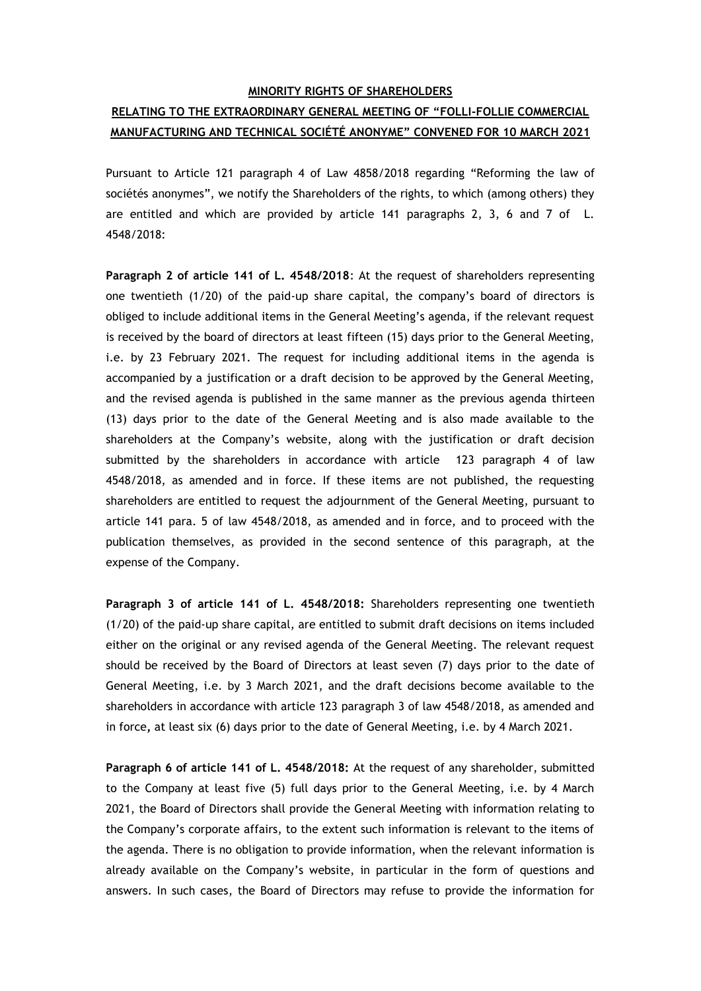## **MINORITY RIGHTS OF SHAREHOLDERS**

## **RELATING TO THE EXTRAORDINARY GENERAL MEETING OF "FOLLI-FOLLIE COMMERCIAL MANUFACTURING AND TECHNICAL SOCIÉTÉ ANONYME" CONVENED FOR 10 MARCH 2021**

Pursuant to Article 121 paragraph 4 of Law 4858/2018 regarding "Reforming the law of sociétés anonymes", we notify the Shareholders of the rights, to which (among others) they are entitled and which are provided by article 141 paragraphs 2, 3, 6 and 7 of L. 4548/2018:

**Paragraph 2 of article 141 of L. 4548/2018**: At the request of shareholders representing one twentieth (1/20) of the paid-up share capital, the company's board of directors is obliged to include additional items in the General Meeting's agenda, if the relevant request is received by the board of directors at least fifteen (15) days prior to the General Meeting, i.e. by 23 February 2021. The request for including additional items in the agenda is accompanied by a justification or a draft decision to be approved by the General Meeting, and the revised agenda is published in the same manner as the previous agenda thirteen (13) days prior to the date of the General Meeting and is also made available to the shareholders at the Company's website, along with the justification or draft decision submitted by the shareholders in accordance with article 123 paragraph 4 of law 4548/2018, as amended and in force. If these items are not published, the requesting shareholders are entitled to request the adjournment of the General Meeting, pursuant to article 141 para. 5 of law 4548/2018, as amended and in force, and to proceed with the publication themselves, as provided in the second sentence of this paragraph, at the expense of the Company.

**Paragraph 3 of article 141 of L. 4548/2018:** Shareholders representing one twentieth (1/20) of the paid-up share capital, are entitled to submit draft decisions on items included either on the original or any revised agenda of the General Meeting. The relevant request should be received by the Board of Directors at least seven (7) days prior to the date of General Meeting, i.e. by 3 March 2021, and the draft decisions become available to the shareholders in accordance with article 123 paragraph 3 of law 4548/2018, as amended and in force**,** at least six (6) days prior to the date of General Meeting, i.e. by 4 March 2021.

**Paragraph 6 of article 141 of L. 4548/2018:** At the request of any shareholder, submitted to the Company at least five (5) full days prior to the General Meeting, i.e. by 4 March 2021, the Board of Directors shall provide the General Meeting with information relating to the Company's corporate affairs, to the extent such information is relevant to the items of the agenda. There is no obligation to provide information, when the relevant information is already available on the Company's website, in particular in the form of questions and answers. In such cases, the Board of Directors may refuse to provide the information for